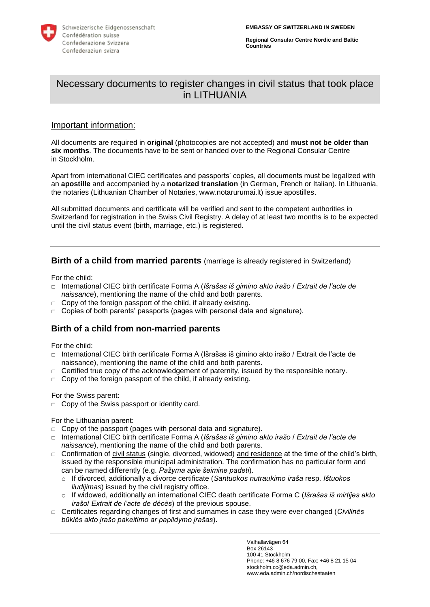

**Regional Consular Centre Nordic and Baltic Countries**

# Necessary documents to register changes in civil status that took place in LITHUANIA

#### Important information:

All documents are required in **original** (photocopies are not accepted) and **must not be older than six months**. The documents have to be sent or handed over to the Regional Consular Centre in Stockholm.

Apart from international CIEC certificates and passports' copies, all documents must be legalized with an **apostille** and accompanied by a **notarized translation** (in German, French or Italian). In Lithuania, the notaries (Lithuanian Chamber of Notaries, www.notarurumai.lt) issue apostilles.

All submitted documents and certificate will be verified and sent to the competent authorities in Switzerland for registration in the Swiss Civil Registry. A delay of at least two months is to be expected until the civil status event (birth, marriage, etc.) is registered.

### **Birth of a child from married parents** (marriage is already registered in Switzerland)

For the child:

- **□** International CIEC birth certificate Forma A (*Išrašas iš gimino akto irašo* / *Extrait de l'acte de naissance*), mentioning the name of the child and both parents.
- □ Copy of the foreign passport of the child, if already existing.
- **□** Copies of both parents' passports (pages with personal data and signature).

#### **Birth of a child from non-married parents**

For the child:

- **□** International CIEC birth certificate Forma A (Išrašas iš gimino akto irašo / Extrait de l'acte de naissance), mentioning the name of the child and both parents.
- □ Certified true copy of the acknowledgement of paternity, issued by the responsible notary.
- □ Copy of the foreign passport of the child, if already existing.

For the Swiss parent:

**□** Copy of the Swiss passport or identity card.

For the Lithuanian parent:

- **□** Copy of the passport (pages with personal data and signature).
- **□** International CIEC birth certificate Forma A (*Išrašas iš gimino akto irašo* / *Extrait de l'acte de naissance*), mentioning the name of the child and both parents.
- **□** Confirmation of civil status (single, divorced, widowed) and residence at the time of the child's birth, issued by the responsible municipal administration. The confirmation has no particular form and can be named differently (e.g. *Pažyma apie šeimine padeti*).
	- o If divorced, additionally a divorce certificate (*Santuokos nutraukimo iraša* resp. *Ištuokos liudijimas*) issued by the civil registry office.
	- o If widowed, additionally an international CIEC death certificate Forma C (*Išrašas iš mirtijes akto irašo*/ *Extrait de l'acte de décès*) of the previous spouse.
- **□** Certificates regarding changes of first and surnames in case they were ever changed (*Civilinės būklės akto įrašo pakeitimo ar papildymo įrašas*).

Valhallavägen 64 Box 26143 100 41 Stockholm Phone: +46 8 676 79 00, Fax: +46 8 21 15 04 stockholm.cc@eda.admin.ch, www.eda.admin.ch/nordischestaaten